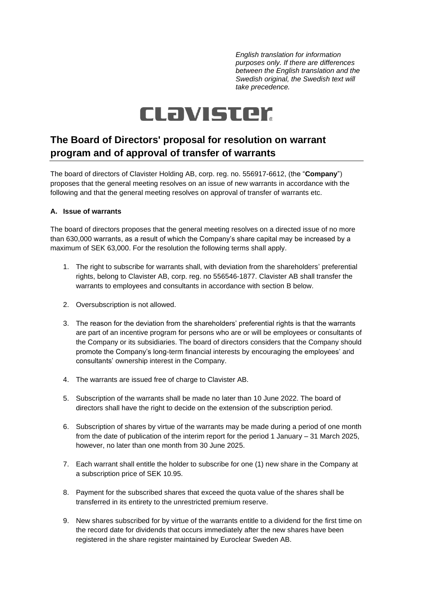*English translation for information purposes only. If there are differences between the English translation and the Swedish original, the Swedish text will take precedence.*

# CLavister

# **The Board of Directors' proposal for resolution on warrant program and of approval of transfer of warrants**

The board of directors of Clavister Holding AB, corp. reg. no. 556917-6612, (the "**Company**") proposes that the general meeting resolves on an issue of new warrants in accordance with the following and that the general meeting resolves on approval of transfer of warrants etc.

#### <span id="page-0-0"></span>**A. Issue of warrants**

The board of directors proposes that the general meeting resolves on a directed issue of no more than 630,000 warrants, as a result of which the Company's share capital may be increased by a maximum of SEK 63,000. For the resolution the following terms shall apply.

- 1. The right to subscribe for warrants shall, with deviation from the shareholders' preferential rights, belong to Clavister AB, corp. reg. no 556546-1877. Clavister AB shall transfer the warrants to employees and consultants in accordance with section [B](#page-1-0) below.
- 2. Oversubscription is not allowed.
- 3. The reason for the deviation from the shareholders' preferential rights is that the warrants are part of an incentive program for persons who are or will be employees or consultants of the Company or its subsidiaries. The board of directors considers that the Company should promote the Company's long-term financial interests by encouraging the employees' and consultants' ownership interest in the Company.
- 4. The warrants are issued free of charge to Clavister AB.
- 5. Subscription of the warrants shall be made no later than 10 June 2022. The board of directors shall have the right to decide on the extension of the subscription period.
- 6. Subscription of shares by virtue of the warrants may be made during a period of one month from the date of publication of the interim report for the period 1 January – 31 March 2025, however, no later than one month from 30 June 2025.
- 7. Each warrant shall entitle the holder to subscribe for one (1) new share in the Company at a subscription price of SEK 10.95.
- 8. Payment for the subscribed shares that exceed the quota value of the shares shall be transferred in its entirety to the unrestricted premium reserve.
- 9. New shares subscribed for by virtue of the warrants entitle to a dividend for the first time on the record date for dividends that occurs immediately after the new shares have been registered in the share register maintained by Euroclear Sweden AB.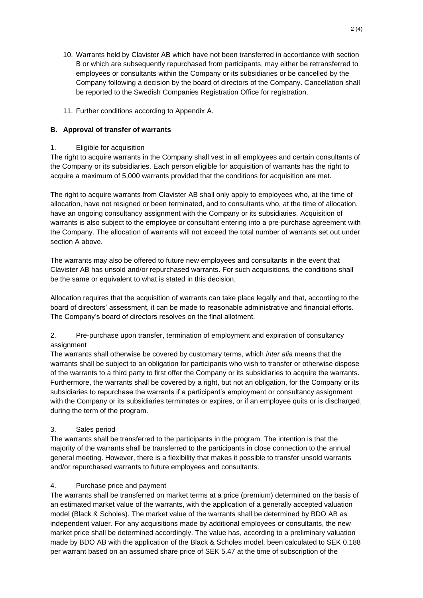- 10. Warrants held by Clavister AB which have not been transferred in accordance with section B or which are subsequently repurchased from participants, may either be retransferred to employees or consultants within the Company or its subsidiaries or be cancelled by the Company following a decision by the board of directors of the Company. Cancellation shall be reported to the Swedish Companies Registration Office for registration.
- 11. Further conditions according to Appendix [A.](#page-0-0)

#### <span id="page-1-0"></span>**B. Approval of transfer of warrants**

#### 1. Eligible for acquisition

The right to acquire warrants in the Company shall vest in all employees and certain consultants of the Company or its subsidiaries. Each person eligible for acquisition of warrants has the right to acquire a maximum of 5,000 warrants provided that the conditions for acquisition are met.

The right to acquire warrants from Clavister AB shall only apply to employees who, at the time of allocation, have not resigned or been terminated, and to consultants who, at the time of allocation, have an ongoing consultancy assignment with the Company or its subsidiaries. Acquisition of warrants is also subject to the employee or consultant entering into a pre-purchase agreement with the Company. The allocation of warrants will not exceed the total number of warrants set out under section [A](#page-0-0) above.

The warrants may also be offered to future new employees and consultants in the event that Clavister AB has unsold and/or repurchased warrants. For such acquisitions, the conditions shall be the same or equivalent to what is stated in this decision.

Allocation requires that the acquisition of warrants can take place legally and that, according to the board of directors' assessment, it can be made to reasonable administrative and financial efforts. The Company's board of directors resolves on the final allotment.

2. Pre-purchase upon transfer, termination of employment and expiration of consultancy assignment

The warrants shall otherwise be covered by customary terms, which *inter alia* means that the warrants shall be subject to an obligation for participants who wish to transfer or otherwise dispose of the warrants to a third party to first offer the Company or its subsidiaries to acquire the warrants. Furthermore, the warrants shall be covered by a right, but not an obligation, for the Company or its subsidiaries to repurchase the warrants if a participant's employment or consultancy assignment with the Company or its subsidiaries terminates or expires, or if an employee quits or is discharged, during the term of the program.

#### 3. Sales period

The warrants shall be transferred to the participants in the program. The intention is that the majority of the warrants shall be transferred to the participants in close connection to the annual general meeting. However, there is a flexibility that makes it possible to transfer unsold warrants and/or repurchased warrants to future employees and consultants.

#### 4. Purchase price and payment

The warrants shall be transferred on market terms at a price (premium) determined on the basis of an estimated market value of the warrants, with the application of a generally accepted valuation model (Black & Scholes). The market value of the warrants shall be determined by BDO AB as independent valuer. For any acquisitions made by additional employees or consultants, the new market price shall be determined accordingly. The value has, according to a preliminary valuation made by BDO AB with the application of the Black & Scholes model, been calculated to SEK 0.188 per warrant based on an assumed share price of SEK 5.47 at the time of subscription of the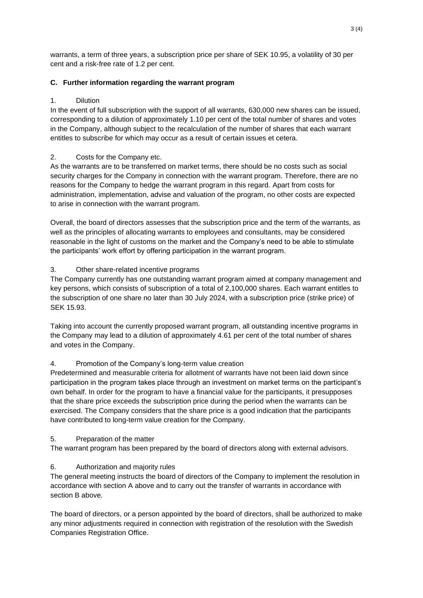warrants, a term of three years, a subscription price per share of SEK 10.95, a volatility of 30 per cent and a risk-free rate of 1.2 per cent.

# **C. Further information regarding the warrant program**

# 1. Dilution

In the event of full subscription with the support of all warrants, 630,000 new shares can be issued, corresponding to a dilution of approximately 1.10 per cent of the total number of shares and votes in the Company, although subject to the recalculation of the number of shares that each warrant entitles to subscribe for which may occur as a result of certain issues et cetera.

# 2. Costs for the Company etc.

As the warrants are to be transferred on market terms, there should be no costs such as social security charges for the Company in connection with the warrant program. Therefore, there are no reasons for the Company to hedge the warrant program in this regard. Apart from costs for administration, implementation, advise and valuation of the program, no other costs are expected to arise in connection with the warrant program.

Overall, the board of directors assesses that the subscription price and the term of the warrants, as well as the principles of allocating warrants to employees and consultants, may be considered reasonable in the light of customs on the market and the Company's need to be able to stimulate the participants' work effort by offering participation in the warrant program.

# 3. Other share-related incentive programs

The Company currently has one outstanding warrant program aimed at company management and key persons, which consists of subscription of a total of 2,100,000 shares. Each warrant entitles to the subscription of one share no later than 30 July 2024, with a subscription price (strike price) of SEK 15.93.

Taking into account the currently proposed warrant program, all outstanding incentive programs in the Company may lead to a dilution of approximately 4.61 per cent of the total number of shares and votes in the Company.

# 4. Promotion of the Company's long-term value creation

Predetermined and measurable criteria for allotment of warrants have not been laid down since participation in the program takes place through an investment on market terms on the participant's own behalf. In order for the program to have a financial value for the participants, it presupposes that the share price exceeds the subscription price during the period when the warrants can be exercised. The Company considers that the share price is a good indication that the participants have contributed to long-term value creation for the Company.

#### 5. Preparation of the matter

The warrant program has been prepared by the board of directors along with external advisors.

# 6. Authorization and majority rules

The general meeting instructs the board of directors of the Company to implement the resolution in accordance with section [A](#page-0-0) above and to carry out the transfer of warrants in accordance with section [B](#page-1-0) above.

The board of directors, or a person appointed by the board of directors, shall be authorized to make any minor adjustments required in connection with registration of the resolution with the Swedish Companies Registration Office.